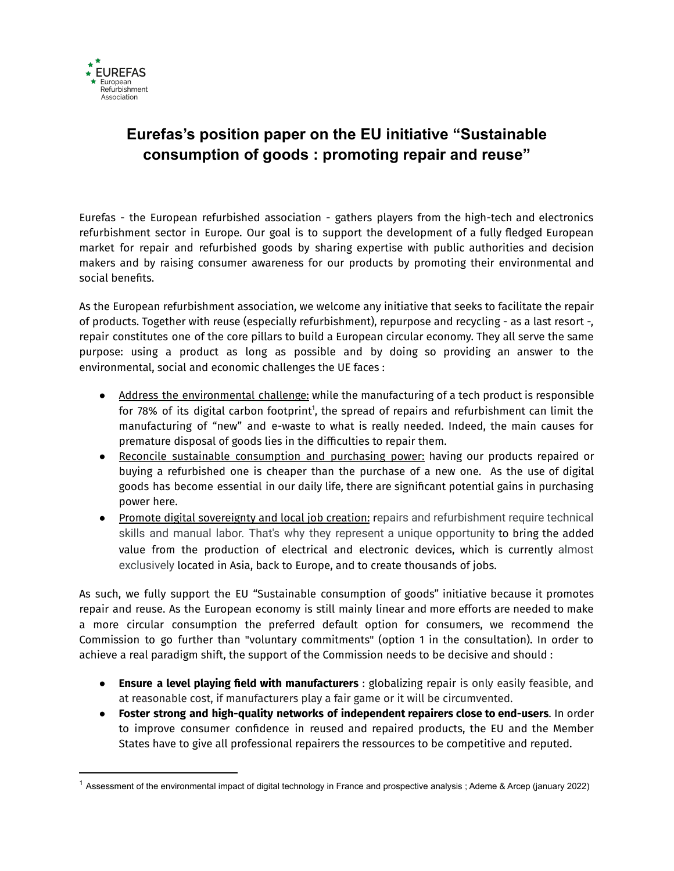

# **Eurefas's position paper on the EU initiative "Sustainable consumption of goods : promoting repair and reuse"**

Eurefas - the European refurbished association - gathers players from the high-tech and electronics refurbishment sector in Europe. Our goal is to support the development of a fully fledged European market for repair and refurbished goods by sharing expertise with public authorities and decision makers and by raising consumer awareness for our products by promoting their environmental and social benefits.

As the European refurbishment association, we welcome any initiative that seeks to facilitate the repair of products. Together with reuse (especially refurbishment), repurpose and recycling - as a last resort -, repair constitutes one of the core pillars to build a European circular economy. They all serve the same purpose: using a product as long as possible and by doing so providing an answer to the environmental, social and economic challenges the UE faces :

- Address the environmental challenge: while the manufacturing of a tech product is responsible for 78% of its digital carbon footprint<sup>1</sup>, the spread of repairs and refurbishment can limit the manufacturing of "new" and e-waste to what is really needed. Indeed, the main causes for premature disposal of goods lies in the difficulties to repair them.
- Reconcile sustainable consumption and purchasing power: having our products repaired or buying a refurbished one is cheaper than the purchase of a new one. As the use of digital goods has become essential in our daily life, there are significant potential gains in purchasing power here.
- Promote digital sovereignty and local job creation: repairs and refurbishment require technical skills and manual labor. That's why they represent a unique opportunity to bring the added value from the production of electrical and electronic devices, which is currently almost exclusively located in Asia, back to Europe, and to create thousands of jobs.

As such, we fully support the EU "Sustainable consumption of goods" initiative because it promotes repair and reuse. As the European economy is still mainly linear and more efforts are needed to make a more circular consumption the preferred default option for consumers, we recommend the Commission to go further than "voluntary commitments" (option 1 in the consultation). In order to achieve a real paradigm shift, the support of the Commission needs to be decisive and should :

- **Ensure a level playing field with manufacturers** : globalizing repair is only easily feasible, and at reasonable cost, if manufacturers play a fair game or it will be circumvented.
- **Foster strong and high-quality networks of independent repairers close to end-users**. In order to improve consumer confidence in reused and repaired products, the EU and the Member States have to give all professional repairers the ressources to be competitive and reputed.

 $1$  Assessment of the environmental impact of digital technology in France and prospective analysis; Ademe & Arcep (january 2022)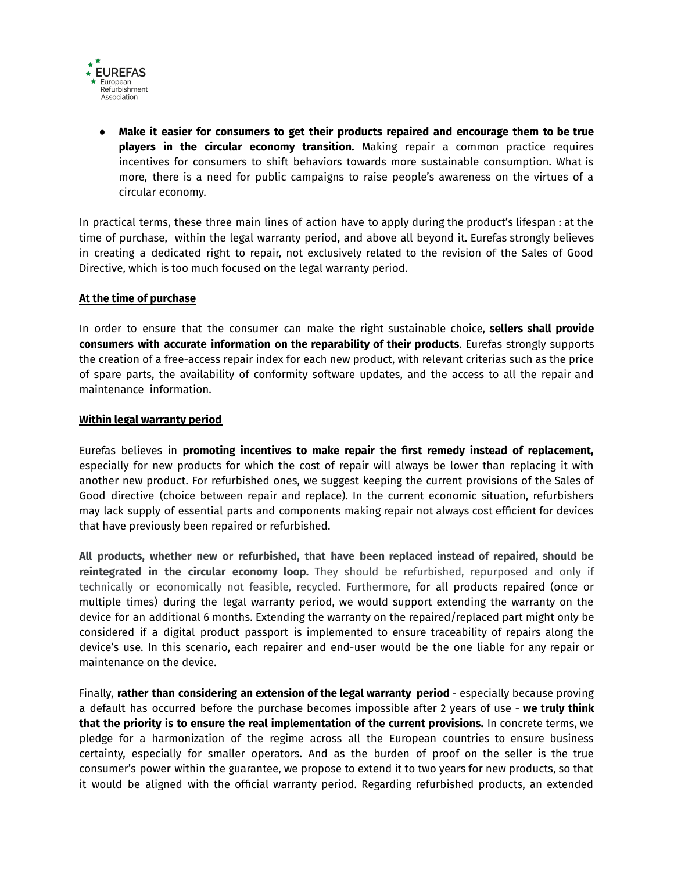

● **Make it easier for consumers to get their products repaired and encourage them to be true players in the circular economy transition.** Making repair a common practice requires incentives for consumers to shift behaviors towards more sustainable consumption. What is more, there is a need for public campaigns to raise people's awareness on the virtues of a circular economy.

In practical terms, these three main lines of action have to apply during the product's lifespan : at the time of purchase, within the legal warranty period, and above all beyond it. Eurefas strongly believes in creating a dedicated right to repair, not exclusively related to the revision of the Sales of Good Directive, which is too much focused on the legal warranty period.

#### **At the time of purchase**

In order to ensure that the consumer can make the right sustainable choice, **sellers shall provide consumers with accurate information on the reparability of their products**. Eurefas strongly supports the creation of a free-access repair index for each new product, with relevant criterias such as the price of spare parts, the availability of conformity software updates, and the access to all the repair and maintenance information.

#### **Within legal warranty period**

Eurefas believes in **promoting incentives to make repair the first remedy instead of replacement,** especially for new products for which the cost of repair will always be lower than replacing it with another new product. For refurbished ones, we suggest keeping the current provisions of the Sales of Good directive (choice between repair and replace). In the current economic situation, refurbishers may lack supply of essential parts and components making repair not always cost efficient for devices that have previously been repaired or refurbished.

**All products, whether new or refurbished, that have been replaced instead of repaired, should be reintegrated in the circular economy loop.** They should be refurbished, repurposed and only if technically or economically not feasible, recycled. Furthermore, for all products repaired (once or multiple times) during the legal warranty period, we would support extending the warranty on the device for an additional 6 months. Extending the warranty on the repaired/replaced part might only be considered if a digital product passport is implemented to ensure traceability of repairs along the device's use. In this scenario, each repairer and end-user would be the one liable for any repair or maintenance on the device.

Finally, **rather than considering an extension of the legal warranty period** - especially because proving a default has occurred before the purchase becomes impossible after 2 years of use - **we truly think that the priority is to ensure the real implementation of the current provisions.** In concrete terms, we pledge for a harmonization of the regime across all the European countries to ensure business certainty, especially for smaller operators. And as the burden of proof on the seller is the true consumer's power within the guarantee, we propose to extend it to two years for new products, so that it would be aligned with the official warranty period. Regarding refurbished products, an extended